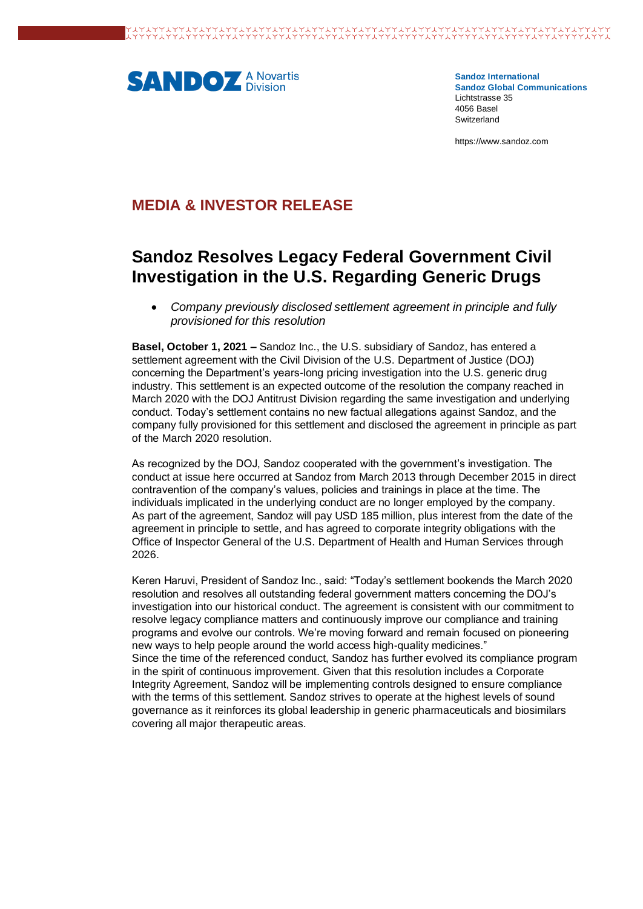

**Sandoz International Sandoz Global Communications** Lichtstrasse 35 4056 Basel Switzerland

https://www.sandoz.com

## **MEDIA & INVESTOR RELEASE**

# **Sandoz Resolves Legacy Federal Government Civil Investigation in the U.S. Regarding Generic Drugs**

• *Company previously disclosed settlement agreement in principle and fully provisioned for this resolution*

**Basel, October 1, 2021 –** Sandoz Inc., the U.S. subsidiary of Sandoz, has entered a settlement agreement with the Civil Division of the U.S. Department of Justice (DOJ) concerning the Department's years-long pricing investigation into the U.S. generic drug industry. This settlement is an expected outcome of the resolution the company reached in March 2020 with the DOJ Antitrust Division regarding the same investigation and underlying conduct. Today's settlement contains no new factual allegations against Sandoz, and the company fully provisioned for this settlement and disclosed the agreement in principle as part of the March 2020 resolution.

As recognized by the DOJ, Sandoz cooperated with the government's investigation. The conduct at issue here occurred at Sandoz from March 2013 through December 2015 in direct contravention of the company's values, policies and trainings in place at the time. The individuals implicated in the underlying conduct are no longer employed by the company. As part of the agreement, Sandoz will pay USD 185 million, plus interest from the date of the agreement in principle to settle, and has agreed to corporate integrity obligations with the Office of Inspector General of the U.S. Department of Health and Human Services through 2026.

Keren Haruvi, President of Sandoz Inc., said: "Today's settlement bookends the March 2020 resolution and resolves all outstanding federal government matters concerning the DOJ's investigation into our historical conduct. The agreement is consistent with our commitment to resolve legacy compliance matters and continuously improve our compliance and training programs and evolve our controls. We're moving forward and remain focused on pioneering new ways to help people around the world access high-quality medicines." Since the time of the referenced conduct, Sandoz has further evolved its compliance program in the spirit of continuous improvement. Given that this resolution includes a Corporate Integrity Agreement, Sandoz will be implementing controls designed to ensure compliance with the terms of this settlement. Sandoz strives to operate at the highest levels of sound governance as it reinforces its global leadership in generic pharmaceuticals and biosimilars covering all major therapeutic areas.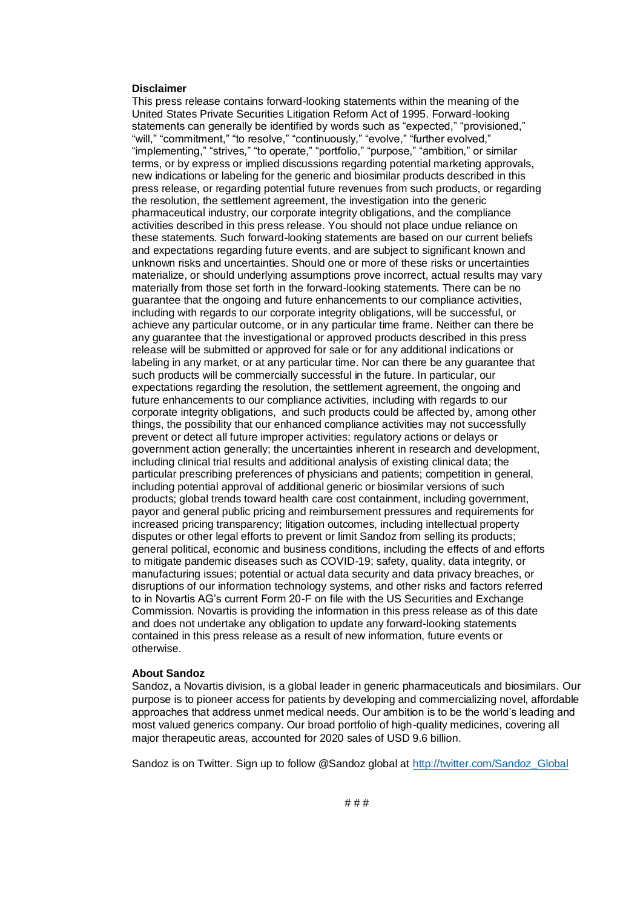#### **Disclaimer**

This press release contains forward-looking statements within the meaning of the United States Private Securities Litigation Reform Act of 1995. Forward-looking statements can generally be identified by words such as "expected," "provisioned," "will," "commitment," "to resolve," "continuously," "evolve," "further evolved," "implementing," "strives," "to operate," "portfolio," "purpose," "ambition," or similar terms, or by express or implied discussions regarding potential marketing approvals, new indications or labeling for the generic and biosimilar products described in this press release, or regarding potential future revenues from such products, or regarding the resolution, the settlement agreement, the investigation into the generic pharmaceutical industry, our corporate integrity obligations, and the compliance activities described in this press release. You should not place undue reliance on these statements. Such forward-looking statements are based on our current beliefs and expectations regarding future events, and are subject to significant known and unknown risks and uncertainties. Should one or more of these risks or uncertainties materialize, or should underlying assumptions prove incorrect, actual results may vary materially from those set forth in the forward-looking statements. There can be no guarantee that the ongoing and future enhancements to our compliance activities, including with regards to our corporate integrity obligations, will be successful, or achieve any particular outcome, or in any particular time frame. Neither can there be any guarantee that the investigational or approved products described in this press release will be submitted or approved for sale or for any additional indications or labeling in any market, or at any particular time. Nor can there be any guarantee that such products will be commercially successful in the future. In particular, our expectations regarding the resolution, the settlement agreement, the ongoing and future enhancements to our compliance activities, including with regards to our corporate integrity obligations, and such products could be affected by, among other things, the possibility that our enhanced compliance activities may not successfully prevent or detect all future improper activities; regulatory actions or delays or government action generally; the uncertainties inherent in research and development, including clinical trial results and additional analysis of existing clinical data; the particular prescribing preferences of physicians and patients; competition in general, including potential approval of additional generic or biosimilar versions of such products; global trends toward health care cost containment, including government, payor and general public pricing and reimbursement pressures and requirements for increased pricing transparency; litigation outcomes, including intellectual property disputes or other legal efforts to prevent or limit Sandoz from selling its products; general political, economic and business conditions, including the effects of and efforts to mitigate pandemic diseases such as COVID-19; safety, quality, data integrity, or manufacturing issues; potential or actual data security and data privacy breaches, or disruptions of our information technology systems, and other risks and factors referred to in Novartis AG's current Form 20-F on file with the US Securities and Exchange Commission. Novartis is providing the information in this press release as of this date and does not undertake any obligation to update any forward-looking statements contained in this press release as a result of new information, future events or otherwise.

#### **About Sandoz**

Sandoz, a Novartis division, is a global leader in generic pharmaceuticals and biosimilars. Our purpose is to pioneer access for patients by developing and commercializing novel, affordable approaches that address unmet medical needs. Our ambition is to be the world's leading and most valued generics company. Our broad portfolio of high-quality medicines, covering all major therapeutic areas, accounted for 2020 sales of USD 9.6 billion.

Sandoz is on Twitter. Sign up to follow @Sandoz global a[t http://twitter.com/Sandoz\\_Global](http://twitter.com/Sandoz_Global)